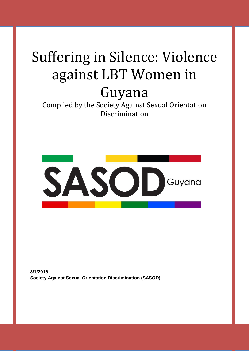# Suffering in Silence: Violence against LBT Women in Guyana

Compiled by the Society Against Sexual Orientation Discrimination



**8/1/2016 Society Against Sexual Orientation Discrimination (SASOD)**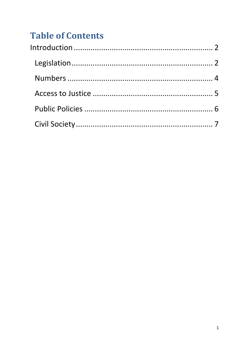# **Table of Contents**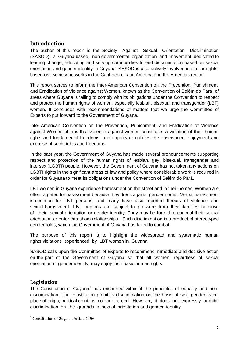# <span id="page-2-0"></span>**Introduction**

The author of this report is the Society Against Sexual Orientation Discrimination (SASOD), a Guyana based, non-governmental organization and movement dedicated to leading change, educating and serving communities to end discrimination based on sexual orientation and gender identity in Guyana. SASOD is also actively involved in similar rightsbased civil society networks in the Caribbean, Latin America and the Americas region.

This report serves to inform the Inter-American Convention on the Prevention, Punishment, and Eradication of Violence against Women, known as the Convention of Belém do Pará, of areas where Guyana is failing to comply with its obligations under the Convention to respect and protect the human rights of women, especially lesbian, bisexual and transgender (LBT) women. It concludes with recommendations of matters that we urge the Committee of Experts to put forward to the Government of Guyana.

Inter-American Convention on the Prevention, Punishment, and Eradication of Violence against Women affirms that violence against women constitutes a violation of their human rights and fundamental freedoms, and impairs or nullifies the observance, enjoyment and exercise of such rights and freedoms.

In the past year, the Government of Guyana has made several pronouncements supporting respect and protection of the human rights of lesbian, gay, bisexual, transgender and intersex (LGBTI) people. However, the Government of Guyana has not taken any actions on LGBTI rights in the significant areas of law and policy where considerable work is required in order for Guyana to meet its obligations under the Convention of Belém do Pará.

LBT women in Guyana experience harassment on the street and in their homes. Women are often targeted for harassment because they dress against gender norms. Verbal harassment is common for LBT persons, and many have also reported threats of violence and sexual harassment. LBT persons are subject to pressure from their families because of their sexual orientation or gender identity. They may be forced to conceal their sexual orientation or enter into sham relationships. Such discrimination is a product of stereotyped gender roles, which the Government of Guyana has failed to combat.

The purpose of this report is to highlight the widespread and systematic human rights violations experienced by LBT women in Guyana.

SASOD calls upon the Committee of Experts to recommend immediate and decisive action on the part of the Government of Guyana so that all women, regardless of sexual orientation or gender identity, may enjoy their basic human rights.

# <span id="page-2-1"></span>**Legislation**

**.** 

The Constitution of Guyana<sup>1</sup> has enshrined within it the principles of equality and nondiscrimination. The constitution prohibits discrimination on the basis of sex, gender, race, place of origin, political opinions, colour or creed. However, it does not expressly prohibit discrimination on the grounds of sexual orientation and gender identity.

<sup>&</sup>lt;sup>1</sup> Constitution of Guyana. Article 149A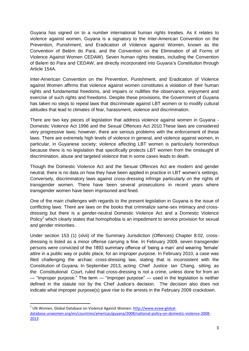Guyana has signed on to a number international human rights treaties. As it relates to violence against women, Guyana is a signatory to the Inter-American Convention on the Prevention, Punishment, and Eradication of Violence against Women, known as the Convention of Belém do Pará, and the Convention on the Elimination of all Forms of Violence Against Women CEDAW). Seven human rights treaties, including the Convention of Belem do Para and CEDAW, are directly incorporated into Guyana"s Constitution through Article 154A.

Inter-American Convention on the Prevention, Punishment, and Eradication of Violence against Women affirms that violence against women constitutes a violation of their human rights and fundamental freedoms, and impairs or nullifies the observance, enjoyment and exercise of such rights and freedoms. Despite these provisions, the Government of Guyana has taken no steps to repeal laws that discriminate against LBT women or to modify cultural attitudes that lead to climates of fear, harassment, violence and discrimination.

There are two key pieces of legislation that address violence against women in Guyana - Domestic Violence Act 1996 and the Sexual Offences Act 2010.These laws are considered very progressive laws; however, there are serious problems with the enforcement of these laws. There are extremely high levels of violence in general, and violence against women, in particular, in Guyanese society; violence affecting LBT women is particularly horrendous because there is no legislation that specifically protects LBT women from the onslaught of discrimination, abuse and targeted violence that in some cases leads to death.

Though the Domestic Violence Act and the Sexual Offences Act are modern and gender neutral, there is no data on how they have been applied in practice in LBT women"s settings. Conversely, discriminatory laws against cross-dressing infringe particularly on the rights of transgender women. There have been several prosecutions in recent years where transgender women have been imprisoned and fined.

One of the main challenges with regards to the present legislation in Guyana is the issue of conflicting laws. There are laws on the books that criminalize same-sex intimacy and crossdressing but there is a gender-neutral Domestic Violence Act and a Domestic Violence Policy<sup>2</sup> which clearly states that homophobia is an impediment to service provision for sexual and gender minorities.

Under section 153 (1) (xlvii) of the Summary Jurisdiction (Offences) Chapter 8:02, crossdressing is listed as a minor offense carrying a fine. In February 2009, seven transgender persons were convicted of the 1893 summary offence of "being a man" and wearing "female" attire in a public way or public place, for an improper purpose. In February 2010, a case was filed challenging the archaic cross-dressing law, stating that is inconsistent with the Constitution of Guyana. In September 2013, acting Chief Justice Ian Chang, sitting as the Constitutional Court, ruled that cross-dressing is not a crime, unless done for from an ― "improper purpose." The term ― "improper purpose" ― used in the legislation is neither defined in the statute nor by the Chief Justice's decision. The decision also does not indicate what improper purpose(s) gave rise to the arrests in the February 2009 crackdown.

**.** 

<sup>&</sup>lt;sup>2</sup> UN Women, Global Database on Violence Against Women: [http://www.evaw-global](http://www.evaw-global-database.unwomen.org/en/countries/americas/guyana/2008/national-policy-on-domestic-violence-2008-2013)[database.unwomen.org/en/countries/americas/guyana/2008/national-policy-on-domestic-violence-2008-](http://www.evaw-global-database.unwomen.org/en/countries/americas/guyana/2008/national-policy-on-domestic-violence-2008-2013) [2013](http://www.evaw-global-database.unwomen.org/en/countries/americas/guyana/2008/national-policy-on-domestic-violence-2008-2013)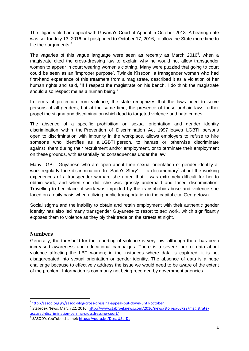The litigants filed an appeal with Guyana"s Court of Appeal in October 2013. A hearing date was set for July 13, 2016 but postponed to October 17, 2016, to allow the State more time to file their arguments. $3$ 

The vagaries of this vague language were seen as recently as March 2016<sup>4</sup>, when a magistrate cited the cross-dressing law to explain why he would not allow transgender women to appear in court wearing women"s clothing. Many were puzzled that going to court could be seen as an "improper purpose". Twinkle Kissoon, a transgender woman who had first-hand experience of this treatment from a magistrate, described it as a violation of her human rights and said, "If I respect the magistrate on his bench, I do think the magistrate should also respect me as a human being."

In terms of protection from violence, the state recognizes that the laws need to serve persons of all genders, but at the same time, the presence of these archaic laws further propel the stigma and discrimination which lead to targeted violence and hate crimes.

The absence of a specific prohibition on sexual orientation and gender identity discrimination within the Prevention of Discrimination Act 1997 leaves LGBTI persons open to discrimination with impunity in the workplace, allows employers to refuse to hire someone who identifies as a LGBTI person, to harass or otherwise discriminate against them during their recruitment and/or employment, or to terminate their employment on these grounds, with essentially no consequences under the law.

Many LGBTI Guyanese who are open about their sexual orientation or gender identity at work regularly face discrimination. In "Sade's Story"  $-$  a documentary<sup>5</sup> about the working experiences of a transgender woman, she noted that it was extremely difficult for her to obtain work, and when she did, she was grossly underpaid and faced discrimination. Travelling to her place of work was impeded by the transphobic abuse and violence she faced on a daily basis when utilizing public transportation in the capital city, Georgetown.

Social stigma and the inability to obtain and retain employment with their authentic gender identity has also led many transgender Guyanese to resort to sex work, which significantly exposes them to violence as they ply their trade on the streets at night.

#### <span id="page-4-0"></span>**Numbers**

**.** 

Generally, the threshold for the reporting of violence is very low, although there has been increased awareness and educational campaigns. There is a severe lack of data about violence affecting the LBT women; in the instances where data is captured, it is not disaggregated into sexual orientation or gender identity. The absence of data is a huge challenge because to effectively address the issue we would need to be aware of the extent of the problem. Information is commonly not being recorded by government agencies.

<sup>3</sup> <http://sasod.org.gy/sasod-blog-cross-dressing-appeal-put-down-until-october>

<sup>&</sup>lt;sup>4</sup> Stabroek News, March 22, 2016: [http://www.stabroeknews.com/2016/news/stories/03/22/magistrate](http://www.stabroeknews.com/2016/news/stories/03/22/magistrate-accused-discrimination-barring-crossdressing-court/)[accused-discrimination-barring-crossdressing-court/](http://www.stabroeknews.com/2016/news/stories/03/22/magistrate-accused-discrimination-barring-crossdressing-court/)

<sup>&</sup>lt;sup>5</sup> SASOD's YouTube channel: [https://youtu.be/DtrgJU5t\\_Ds](https://youtu.be/DtrgJU5t_Ds)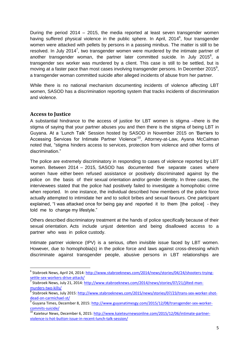During the period 2014 – 2015, the media reported at least seven transgender women having suffered physical violence in the public sphere. In April, 2014<sup>6</sup>, four transgender women were attacked with pellets by persons in a passing minibus. The matter is still to be resolved. In July 2014<sup>7</sup>, two transgender women were murdered by the intimate partner of another transgender woman, the partner later committed suicide. In July 2015<sup>8</sup>, a transgender sex worker was murdered by a client. This case is still to be settled, but is moving at a faster pace than most cases involving transgender persons. In December 2015<sup>9</sup>, a transgender woman committed suicide after alleged incidents of abuse from her partner.

<span id="page-5-0"></span>While there is no national mechanism documenting incidents of violence affecting LBT women, SASOD has a discrimination reporting system that tracks incidents of discrimination and violence.

# **Access to Justice**

A substantial hindrance to the access of justice for LBT women is stigma –there is the stigma of saying that your partner abuses you and then there is the stigma of being LBT in Guyana. At a "Lunch Talk" Session hosted by SASOD in November 2015 on "Barriers to Accessing Services for Intimate Partner Violence<sup>10</sup>, Attorney-at-Law, Ayana McCalman noted that, "stigma hinders access to services, protection from violence and other forms of discrimination."

The police are extremely discriminatory in responding to cases of violence reported by LBT women. Between 2014 – 2015, SASOD has documented five separate cases where women have either been refused assistance or positively discriminated against by the police on the basis of their sexual orientation and/or gender identity. In three cases, the interviewees stated that the police had positively failed to investigate a homophobic crime when reported. In one instance, the individual described how members of the police force actually attempted to intimidate her and to solicit bribes and sexual favours. One participant explained, "I was attacked once for being gay and reported it to them [the police] - they told me to change my lifestyle."

Others described discriminatory treatment at the hands of police specifically because of their sexual orientation. Acts include unjust detention and being disallowed access to a partner who was in police custody.

Intimate partner violence (IPV) is a serious, often invisible issue faced by LBT women. However, due to homophobia(s) in the police force and laws against cross-dressing which discriminate against transgender people, abusive persons in LBT relationships are

 6 Stabroek News, April 24, 2014: [http://www.stabroeknews.com/2014/news/stories/04/24/shooters-trying](http://www.stabroeknews.com/2014/news/stories/04/24/shooters-trying-settle-sex-workers-drive-attack/)[settle-sex-workers-drive-attack/](http://www.stabroeknews.com/2014/news/stories/04/24/shooters-trying-settle-sex-workers-drive-attack/)

<sup>&</sup>lt;sup>7</sup> Stabroek News, July 21, 2014: [http://www.stabroeknews.com/2014/news/stories/07/21/jilted-man](http://www.stabroeknews.com/2014/news/stories/07/21/jilted-man-murders-two-kills/)[murders-two-kills/](http://www.stabroeknews.com/2014/news/stories/07/21/jilted-man-murders-two-kills/)<br><sup>8</sup> Stebreek News

Stabroek News, July 2015: [http://www.stabroeknews.com/2015/news/stories/07/23/trans-sex-worker-shot](http://www.stabroeknews.com/2015/news/stories/07/23/trans-sex-worker-shot-dead-on-carmichael-st/)[dead-on-carmichael-st/](http://www.stabroeknews.com/2015/news/stories/07/23/trans-sex-worker-shot-dead-on-carmichael-st/)

<sup>9</sup> Guyana Times, December 8, 2015: [http://www.guyanatimesgy.com/2015/12/08/transgender-sex-worker](http://www.guyanatimesgy.com/2015/12/08/transgender-sex-worker-commits-suicide/)[commits-suicide/](http://www.guyanatimesgy.com/2015/12/08/transgender-sex-worker-commits-suicide/)

<sup>&</sup>lt;sup>10</sup> Kaieteur News, December 6, 2015: [http://www.kaieteurnewsonline.com/2015/12/06/intimate-partner](http://www.kaieteurnewsonline.com/2015/12/06/intimate-partner-violence-is-hot-button-issue-in-recent-lunch-talk-session/)[violence-is-hot-button-issue-in-recent-lunch-talk-session/](http://www.kaieteurnewsonline.com/2015/12/06/intimate-partner-violence-is-hot-button-issue-in-recent-lunch-talk-session/)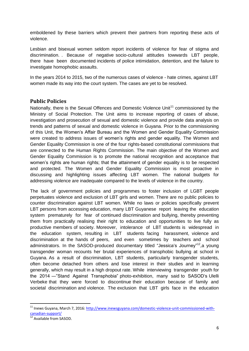emboldened by these barriers which prevent their partners from reporting these acts of violence.

Lesbian and bisexual women seldom report incidents of violence for fear of stigma and discrimination. . Because of negative socio-cultural attitudes towwards LBT people, there have been documented incidents of police intimidation, detention, and the failure to investigate homophobic assaults.

In the years 2014 to 2015, two of the numerous cases of violence - hate crimes, against LBT women made its way into the court system. The cases are yet to be resolved.

#### <span id="page-6-0"></span>**Public Policies**

Nationally, there is the Sexual Offences and Domestic Violence Unit<sup>11</sup> commissioned by the Ministry of Social Protection. The Unit aims to increase reporting of cases of abuse, investigation and prosecution of sexual and domestic violence and provide data analysis on trends and patterns of sexual and domestic violence in Guyana. Prior to the commissioning of this Unit, the Women"s Affair Bureau and the Women and Gender Equality Commission were created to address issues of women"s rights and gender equality. The Women and Gender Equality Commission is one of the four rights-based constitutional commissions that are connected to the Human Rights Commission. The main objective of the Women and Gender Equality Commission is to promote the national recognition and acceptance that women"s rights are human rights; that the attainment of gender equality is to be respected and protected. The Women and Gender Equality Commission is most proactive in discussing and highlighting issues affecting LBT women. The national budgets for addressing violence are inadequate compared to the levels of violence in the country.

The lack of government policies and programmes to foster inclusion of LGBT people perpetuates violence and exclusion of LBT girls and women. There are no public policies to counter discrimination against LBT women. While no laws or policies specifically prevent LBT persons from accessing education, many LBT Guyanese report leaving the education system prematurely for fear of continued discrimination and bullying, thereby preventing them from practically realising their right to education and opportunities to live fully as productive members of society. Moreover, intolerance of LBT students is widespread in the education system, resulting in LBT students facing harassment, violence and discrimination at the hands of peers, and even sometimes by teachers and school administrators. In the SASOD-produced documentary titled "Jessica's Journey"<sup>12</sup>,a young transgender woman recounts her brutal experiences of transphobic bullying at school in Guyana. As a result of discrimination, LBT students, particularly transgender students, often become detached from others and lose interest in their studies and in learning generally, which may result in a high dropout rate. While interviewing transgender youth for the 2014 ―"Stand Against Transphobia" photo-exhibition, many said to SASOD"s Ulelli Verbeke that they were forced to discontinue their education because of family and societal discrimination and violence. The exclusion that LBT girls face in the education

**.** 

<sup>&</sup>lt;sup>11</sup> Inews Guyana, March 7, 2016: [http://www.inewsguyana.com/domestic-violence-unit-commissioned-with](http://www.inewsguyana.com/domestic-violence-unit-commissioned-with-canadian-support/)[canadian-support/](http://www.inewsguyana.com/domestic-violence-unit-commissioned-with-canadian-support/)

<sup>12</sup> Available from SASOD.